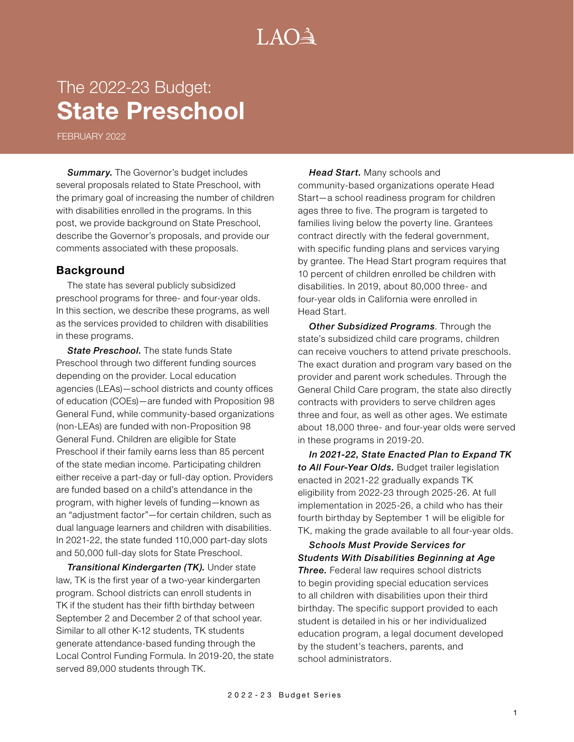# $A() \rightarrow$

## The 2022-23 Budget: **State Preschool**

FEBRUARY 2022

*Summary.* The Governor's budget includes several proposals related to State Preschool, with the primary goal of increasing the number of children with disabilities enrolled in the programs. In this post, we provide background on State Preschool, describe the Governor's proposals, and provide our comments associated with these proposals.

#### **Background**

The state has several publicly subsidized preschool programs for three- and four-year olds. In this section, we describe these programs, as well as the services provided to children with disabilities in these programs.

**State Preschool.** The state funds State Preschool through two different funding sources depending on the provider. Local education agencies (LEAs)—school districts and county offices of education (COEs)—are funded with Proposition 98 General Fund, while community-based organizations (non-LEAs) are funded with non-Proposition 98 General Fund. Children are eligible for State Preschool if their family earns less than 85 percent of the state median income. Participating children either receive a part-day or full-day option. Providers are funded based on a child's attendance in the program, with higher levels of funding—known as an "adjustment factor"—for certain children, such as dual language learners and children with disabilities. In 2021-22, the state funded 110,000 part-day slots and 50,000 full-day slots for State Preschool.

*Transitional Kindergarten (TK).* Under state law, TK is the first year of a two-year kindergarten program. School districts can enroll students in TK if the student has their fifth birthday between September 2 and December 2 of that school year. Similar to all other K-12 students, TK students generate attendance-based funding through the Local Control Funding Formula. In 2019-20, the state served 89,000 students through TK.

*Head Start.* Many schools and community-based organizations operate Head Start—a school readiness program for children ages three to five. The program is targeted to families living below the poverty line. Grantees contract directly with the federal government, with specific funding plans and services varying by grantee. The Head Start program requires that 10 percent of children enrolled be children with disabilities. In 2019, about 80,000 three- and four-year olds in California were enrolled in Head Start.

*Other Subsidized Programs*. Through the state's subsidized child care programs, children can receive vouchers to attend private preschools. The exact duration and program vary based on the provider and parent work schedules. Through the General Child Care program, the state also directly contracts with providers to serve children ages three and four, as well as other ages. We estimate about 18,000 three- and four-year olds were served in these programs in 2019-20.

*In 2021-22, State Enacted Plan to Expand TK to All Four-Year Olds.* Budget trailer legislation enacted in 2021-22 gradually expands TK eligibility from 2022-23 through 2025-26. At full implementation in 2025-26, a child who has their fourth birthday by September 1 will be eligible for TK, making the grade available to all four-year olds.

*Schools Must Provide Services for Students With Disabilities Beginning at Age Three.* Federal law requires school districts to begin providing special education services to all children with disabilities upon their third birthday. The specific support provided to each student is detailed in his or her individualized education program, a legal document developed by the student's teachers, parents, and school administrators.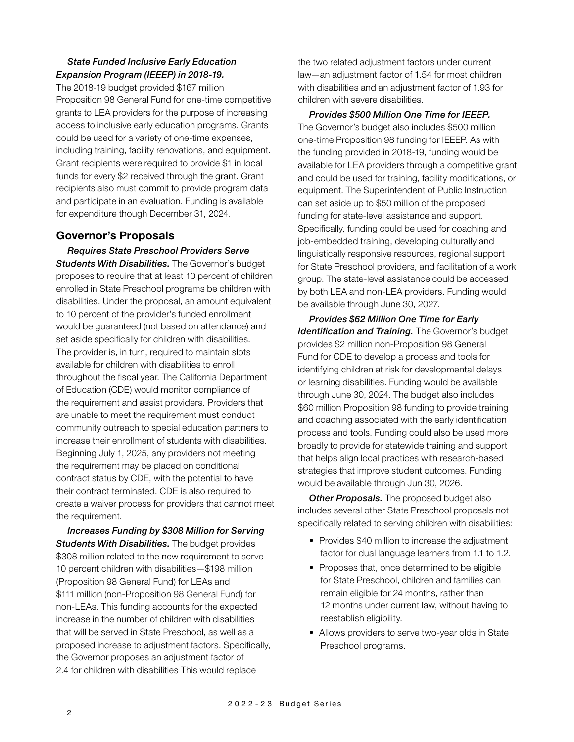#### *State Funded Inclusive Early Education Expansion Program (IEEEP) in 2018-19.*

The 2018-19 budget provided \$167 million Proposition 98 General Fund for one-time competitive grants to LEA providers for the purpose of increasing access to inclusive early education programs. Grants could be used for a variety of one-time expenses, including training, facility renovations, and equipment. Grant recipients were required to provide \$1 in local funds for every \$2 received through the grant. Grant recipients also must commit to provide program data and participate in an evaluation. Funding is available for expenditure though December 31, 2024.

## **Governor's Proposals**

*Requires State Preschool Providers Serve Students With Disabilities.* The Governor's budget proposes to require that at least 10 percent of children enrolled in State Preschool programs be children with disabilities. Under the proposal, an amount equivalent to 10 percent of the provider's funded enrollment would be guaranteed (not based on attendance) and set aside specifically for children with disabilities. The provider is, in turn, required to maintain slots available for children with disabilities to enroll throughout the fiscal year. The California Department of Education (CDE) would monitor compliance of the requirement and assist providers. Providers that are unable to meet the requirement must conduct community outreach to special education partners to increase their enrollment of students with disabilities. Beginning July 1, 2025, any providers not meeting the requirement may be placed on conditional contract status by CDE, with the potential to have their contract terminated. CDE is also required to create a waiver process for providers that cannot meet the requirement.

*Increases Funding by \$308 Million for Serving Students With Disabilities.* The budget provides \$308 million related to the new requirement to serve 10 percent children with disabilities—\$198 million (Proposition 98 General Fund) for LEAs and \$111 million (non-Proposition 98 General Fund) for non-LEAs. This funding accounts for the expected increase in the number of children with disabilities that will be served in State Preschool, as well as a proposed increase to adjustment factors. Specifically, the Governor proposes an adjustment factor of 2.4 for children with disabilities This would replace

the two related adjustment factors under current law—an adjustment factor of 1.54 for most children with disabilities and an adjustment factor of 1.93 for children with severe disabilities.

*Provides \$500 Million One Time for IEEEP.*  The Governor's budget also includes \$500 million one-time Proposition 98 funding for IEEEP. As with the funding provided in 2018-19, funding would be available for LEA providers through a competitive grant and could be used for training, facility modifications, or equipment. The Superintendent of Public Instruction can set aside up to \$50 million of the proposed funding for state-level assistance and support. Specifically, funding could be used for coaching and job-embedded training, developing culturally and linguistically responsive resources, regional support for State Preschool providers, and facilitation of a work group. The state-level assistance could be accessed by both LEA and non-LEA providers. Funding would be available through June 30, 2027.

*Provides \$62 Million One Time for Early Identification and Training.* The Governor's budget provides \$2 million non-Proposition 98 General Fund for CDE to develop a process and tools for identifying children at risk for developmental delays or learning disabilities. Funding would be available through June 30, 2024. The budget also includes \$60 million Proposition 98 funding to provide training and coaching associated with the early identification process and tools. Funding could also be used more broadly to provide for statewide training and support that helps align local practices with research-based strategies that improve student outcomes. Funding would be available through Jun 30, 2026.

**Other Proposals.** The proposed budget also includes several other State Preschool proposals not specifically related to serving children with disabilities:

- Provides \$40 million to increase the adjustment factor for dual language learners from 1.1 to 1.2.
- Proposes that, once determined to be eligible for State Preschool, children and families can remain eligible for 24 months, rather than 12 months under current law, without having to reestablish eligibility.
- Allows providers to serve two-year olds in State Preschool programs.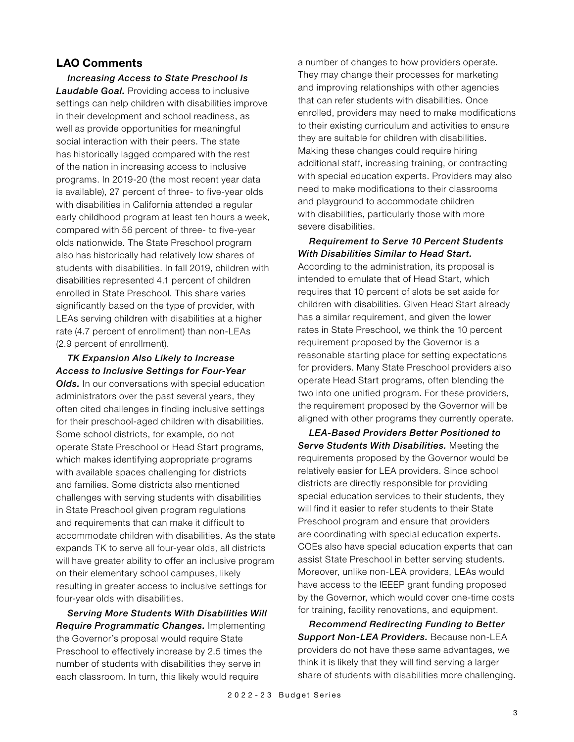#### **LAO Comments**

*Increasing Access to State Preschool Is Laudable Goal.* Providing access to inclusive settings can help children with disabilities improve in their development and school readiness, as well as provide opportunities for meaningful social interaction with their peers. The state has historically lagged compared with the rest of the nation in increasing access to inclusive programs. In 2019-20 (the most recent year data is available), 27 percent of three- to five-year olds with disabilities in California attended a regular early childhood program at least ten hours a week, compared with 56 percent of three- to five-year olds nationwide. The State Preschool program also has historically had relatively low shares of students with disabilities. In fall 2019, children with disabilities represented 4.1 percent of children enrolled in State Preschool. This share varies significantly based on the type of provider, with LEAs serving children with disabilities at a higher rate (4.7 percent of enrollment) than non-LEAs (2.9 percent of enrollment).

*TK Expansion Also Likely to Increase Access to Inclusive Settings for Four-Year Olds.* In our conversations with special education administrators over the past several years, they often cited challenges in finding inclusive settings for their preschool-aged children with disabilities. Some school districts, for example, do not operate State Preschool or Head Start programs, which makes identifying appropriate programs with available spaces challenging for districts and families. Some districts also mentioned challenges with serving students with disabilities in State Preschool given program regulations and requirements that can make it difficult to accommodate children with disabilities. As the state expands TK to serve all four-year olds, all districts will have greater ability to offer an inclusive program on their elementary school campuses, likely resulting in greater access to inclusive settings for four-year olds with disabilities.

*Serving More Students With Disabilities Will Require Programmatic Changes.* Implementing the Governor's proposal would require State Preschool to effectively increase by 2.5 times the number of students with disabilities they serve in each classroom. In turn, this likely would require

a number of changes to how providers operate. They may change their processes for marketing and improving relationships with other agencies that can refer students with disabilities. Once enrolled, providers may need to make modifications to their existing curriculum and activities to ensure they are suitable for children with disabilities. Making these changes could require hiring additional staff, increasing training, or contracting with special education experts. Providers may also need to make modifications to their classrooms and playground to accommodate children with disabilities, particularly those with more severe disabilities.

#### *Requirement to Serve 10 Percent Students With Disabilities Similar to Head Start.*

According to the administration, its proposal is intended to emulate that of Head Start, which requires that 10 percent of slots be set aside for children with disabilities. Given Head Start already has a similar requirement, and given the lower rates in State Preschool, we think the 10 percent requirement proposed by the Governor is a reasonable starting place for setting expectations for providers. Many State Preschool providers also operate Head Start programs, often blending the two into one unified program. For these providers, the requirement proposed by the Governor will be aligned with other programs they currently operate.

*LEA-Based Providers Better Positioned to Serve Students With Disabilities.* Meeting the requirements proposed by the Governor would be relatively easier for LEA providers. Since school districts are directly responsible for providing special education services to their students, they will find it easier to refer students to their State Preschool program and ensure that providers are coordinating with special education experts. COEs also have special education experts that can assist State Preschool in better serving students. Moreover, unlike non-LEA providers, LEAs would have access to the IEEEP grant funding proposed by the Governor, which would cover one-time costs for training, facility renovations, and equipment.

*Recommend Redirecting Funding to Better Support Non-LEA Providers.* Because non-LEA providers do not have these same advantages, we think it is likely that they will find serving a larger share of students with disabilities more challenging.